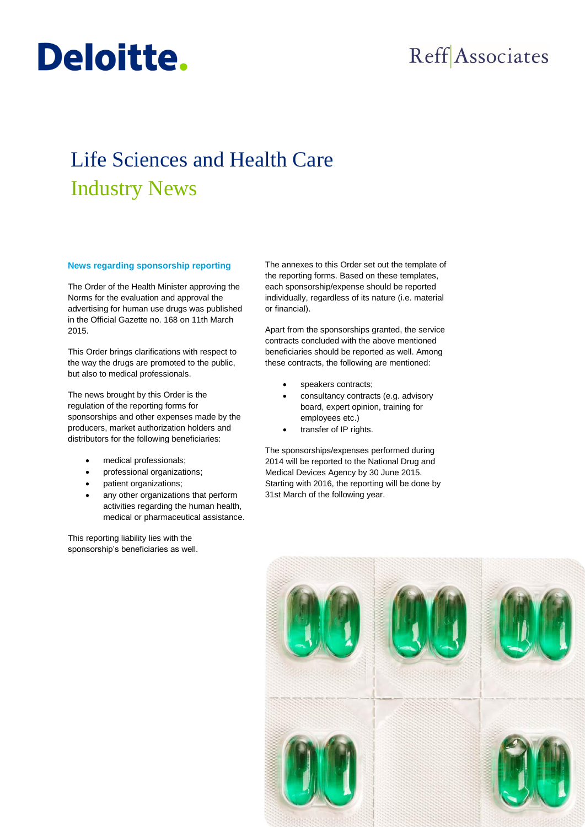## Reff Associates

## Life Sciences and Health Care Industry News

## **News regarding sponsorship reporting**

Deloitte.

The Order of the Health Minister approving the Norms for the evaluation and approval the advertising for human use drugs was published in the Official Gazette no. 168 on 11th March 2015.

This Order brings clarifications with respect to the way the drugs are promoted to the public, but also to medical professionals.

The news brought by this Order is the regulation of the reporting forms for sponsorships and other expenses made by the producers, market authorization holders and distributors for the following beneficiaries:

- medical professionals;
- professional organizations;
- patient organizations;
- any other organizations that perform activities regarding the human health, medical or pharmaceutical assistance.

This reporting liability lies with the sponsorship's beneficiaries as well. The annexes to this Order set out the template of the reporting forms. Based on these templates, each sponsorship/expense should be reported individually, regardless of its nature (i.e. material or financial).

Apart from the sponsorships granted, the service contracts concluded with the above mentioned beneficiaries should be reported as well. Among these contracts, the following are mentioned:

- speakers contracts;
- consultancy contracts (e.g. advisory board, expert opinion, training for employees etc.)
- transfer of IP rights.

The sponsorships/expenses performed during 2014 will be reported to the National Drug and Medical Devices Agency by 30 June 2015. Starting with 2016, the reporting will be done by 31st March of the following year.